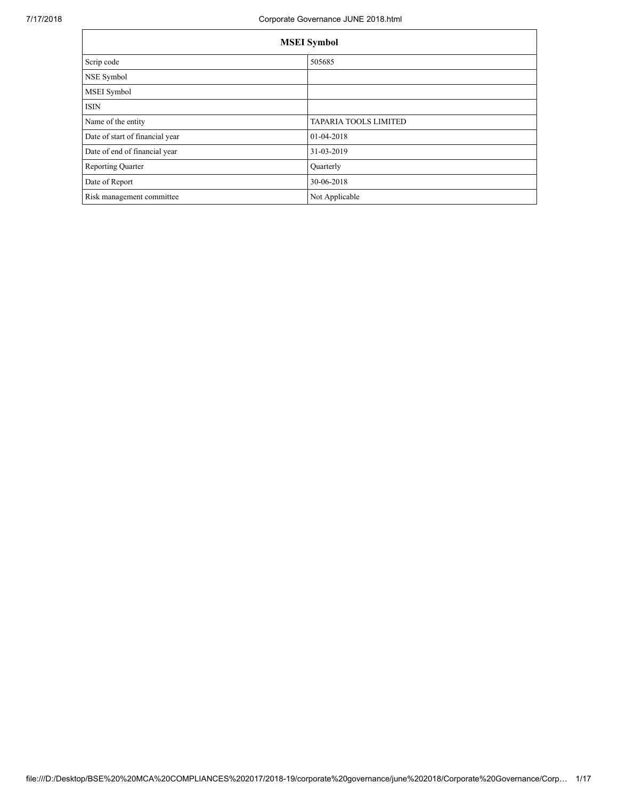|                                 | <b>MSEI</b> Symbol           |
|---------------------------------|------------------------------|
| Scrip code                      | 505685                       |
| NSE Symbol                      |                              |
| MSEI Symbol                     |                              |
| <b>ISIN</b>                     |                              |
| Name of the entity              | <b>TAPARIA TOOLS LIMITED</b> |
| Date of start of financial year | 01-04-2018                   |
| Date of end of financial year   | 31-03-2019                   |
| <b>Reporting Quarter</b>        | Quarterly                    |
| Date of Report                  | 30-06-2018                   |
| Risk management committee       | Not Applicable               |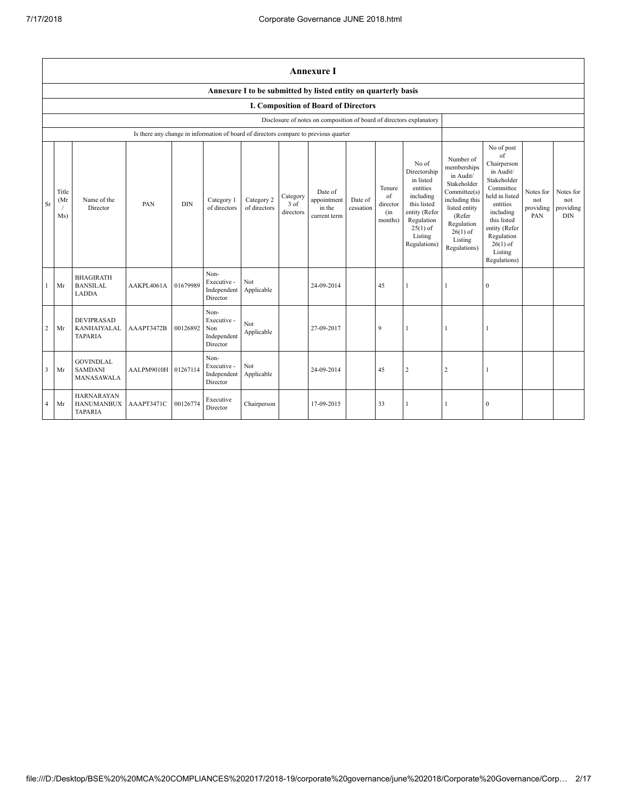|                |                                                                |                                                          |                                                                                      |            |                                                       |                            |                               | <b>Annexure I</b>                                                    |                      |                                            |                                                                                                                                                    |                                                                                                                                                                          |                                                                                                                                                                                                            |                                      |                                             |
|----------------|----------------------------------------------------------------|----------------------------------------------------------|--------------------------------------------------------------------------------------|------------|-------------------------------------------------------|----------------------------|-------------------------------|----------------------------------------------------------------------|----------------------|--------------------------------------------|----------------------------------------------------------------------------------------------------------------------------------------------------|--------------------------------------------------------------------------------------------------------------------------------------------------------------------------|------------------------------------------------------------------------------------------------------------------------------------------------------------------------------------------------------------|--------------------------------------|---------------------------------------------|
|                | Annexure I to be submitted by listed entity on quarterly basis |                                                          |                                                                                      |            |                                                       |                            |                               |                                                                      |                      |                                            |                                                                                                                                                    |                                                                                                                                                                          |                                                                                                                                                                                                            |                                      |                                             |
|                |                                                                |                                                          |                                                                                      |            |                                                       |                            |                               | <b>I. Composition of Board of Directors</b>                          |                      |                                            |                                                                                                                                                    |                                                                                                                                                                          |                                                                                                                                                                                                            |                                      |                                             |
|                |                                                                |                                                          |                                                                                      |            |                                                       |                            |                               | Disclosure of notes on composition of board of directors explanatory |                      |                                            |                                                                                                                                                    |                                                                                                                                                                          |                                                                                                                                                                                                            |                                      |                                             |
|                |                                                                |                                                          | Is there any change in information of board of directors compare to previous quarter |            |                                                       |                            |                               |                                                                      |                      |                                            |                                                                                                                                                    |                                                                                                                                                                          |                                                                                                                                                                                                            |                                      |                                             |
| Sr             | Title<br>(Mr<br>Ms)                                            | Name of the<br>Director                                  | PAN                                                                                  | <b>DIN</b> | Category 1<br>of directors                            | Category 2<br>of directors | Category<br>3 of<br>directors | Date of<br>appointment<br>in the<br>current term                     | Date of<br>cessation | Tenure<br>of<br>director<br>(in<br>months) | No of<br>Directorship<br>in listed<br>entities<br>including<br>this listed<br>entity (Refer<br>Regulation<br>$25(1)$ of<br>Listing<br>Regulations) | Number of<br>memberships<br>in Audit/<br>Stakeholder<br>Committee(s)<br>including this<br>listed entity<br>(Refer<br>Regulation<br>$26(1)$ of<br>Listing<br>Regulations) | No of post<br>of<br>Chairperson<br>in Audit/<br>Stakeholder<br>Committee<br>held in listed<br>entities<br>including<br>this listed<br>entity (Refer<br>Regulation<br>$26(1)$ of<br>Listing<br>Regulations) | Notes for<br>not<br>providing<br>PAN | Notes for<br>not<br>providing<br><b>DIN</b> |
| 1              | Mr                                                             | <b>BHAGIRATH</b><br><b>BANSILAL</b><br><b>LADDA</b>      | AAKPL4061A 01679989                                                                  |            | Non-<br>Executive -<br>Independent<br>Director        | Not<br>Applicable          |                               | 24-09-2014                                                           |                      | 45                                         | $\mathbf{1}$                                                                                                                                       |                                                                                                                                                                          | $\bf{0}$                                                                                                                                                                                                   |                                      |                                             |
| $\overline{2}$ | Mr                                                             | <b>DEVIPRASAD</b><br>KANHAIYALAL<br><b>TAPARIA</b>       | AAAPT3472B                                                                           | 00126892   | Non-<br>Executive -<br>Non<br>Independent<br>Director | Not<br>Applicable          |                               | 27-09-2017                                                           |                      | 9                                          | $\mathbf{1}$                                                                                                                                       |                                                                                                                                                                          |                                                                                                                                                                                                            |                                      |                                             |
| $\overline{3}$ | Mr                                                             | <b>GOVINDLAL</b><br><b>SAMDANI</b><br><b>MANASAWALA</b>  | AALPM9010H 01267114                                                                  |            | Non-<br>Executive -<br>Independent<br>Director        | Not<br>Applicable          |                               | 24-09-2014                                                           |                      | 45                                         | 2                                                                                                                                                  | $\overline{c}$                                                                                                                                                           | 1                                                                                                                                                                                                          |                                      |                                             |
| $\overline{4}$ | Mr                                                             | <b>HARNARAYAN</b><br><b>HANUMANBUX</b><br><b>TAPARIA</b> | AAAPT3471C                                                                           | 00126774   | Executive<br>Director                                 | Chairperson                |                               | 17-09-2015                                                           |                      | 33                                         | $\mathbf{1}$                                                                                                                                       |                                                                                                                                                                          | $\mathbf{0}$                                                                                                                                                                                               |                                      |                                             |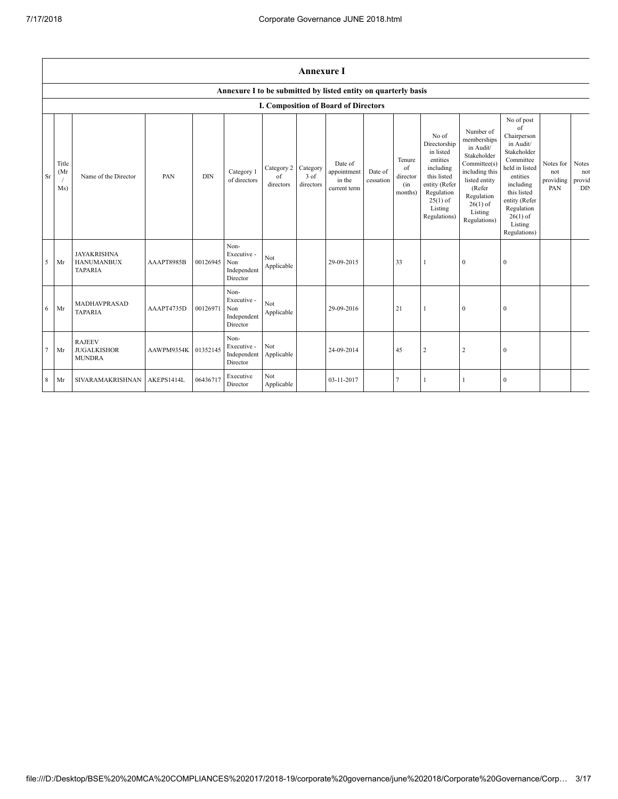$\mathsf{r}$ 

|                 |                      |                                                           |            |          |                                                       |                               | <b>Annexure I</b>             |                                                                |                      |                                            |                                                                                                                                                    |                                                                                                                                                                          |                                                                                                                                                                                                            |                                      |                               |
|-----------------|----------------------|-----------------------------------------------------------|------------|----------|-------------------------------------------------------|-------------------------------|-------------------------------|----------------------------------------------------------------|----------------------|--------------------------------------------|----------------------------------------------------------------------------------------------------------------------------------------------------|--------------------------------------------------------------------------------------------------------------------------------------------------------------------------|------------------------------------------------------------------------------------------------------------------------------------------------------------------------------------------------------------|--------------------------------------|-------------------------------|
|                 |                      |                                                           |            |          |                                                       |                               |                               | Annexure I to be submitted by listed entity on quarterly basis |                      |                                            |                                                                                                                                                    |                                                                                                                                                                          |                                                                                                                                                                                                            |                                      |                               |
|                 |                      |                                                           |            |          |                                                       |                               |                               | <b>I. Composition of Board of Directors</b>                    |                      |                                            |                                                                                                                                                    |                                                                                                                                                                          |                                                                                                                                                                                                            |                                      |                               |
| Sr              | Title<br>(Mr)<br>Ms) | Name of the Director                                      | PAN        | DIN      | Category 1<br>of directors                            | Category 2<br>of<br>directors | Category<br>3 of<br>directors | Date of<br>appointment<br>in the<br>current term               | Date of<br>cessation | Tenure<br>of<br>director<br>(in<br>months) | No of<br>Directorship<br>in listed<br>entities<br>including<br>this listed<br>entity (Refer<br>Regulation<br>$25(1)$ of<br>Listing<br>Regulations) | Number of<br>memberships<br>in Audit/<br>Stakeholder<br>Committee(s)<br>including this<br>listed entity<br>(Refer<br>Regulation<br>$26(1)$ of<br>Listing<br>Regulations) | No of post<br>of<br>Chairperson<br>in Audit/<br>Stakeholder<br>Committee<br>held in listed<br>entities<br>including<br>this listed<br>entity (Refer<br>Regulation<br>$26(1)$ of<br>Listing<br>Regulations) | Notes for<br>not<br>providing<br>PAN | Notes<br>not<br>provid<br>DIN |
| 5               | Mr                   | <b>JAYAKRISHNA</b><br><b>HANUMANBUX</b><br><b>TAPARIA</b> | AAAPT8985B | 00126945 | Non-<br>Executive -<br>Non<br>Independent<br>Director | Not<br>Applicable             |                               | 29-09-2015                                                     |                      | 33                                         |                                                                                                                                                    | $\bf{0}$                                                                                                                                                                 | $\mathbf{0}$                                                                                                                                                                                               |                                      |                               |
| 6               | Mr                   | MADHAVPRASAD<br><b>TAPARIA</b>                            | AAAPT4735D | 00126971 | Non-<br>Executive -<br>Non<br>Independent<br>Director | Not<br>Applicable             |                               | 29-09-2016                                                     |                      | 21                                         |                                                                                                                                                    | $\mathbf{0}$                                                                                                                                                             | $\mathbf{0}$                                                                                                                                                                                               |                                      |                               |
| $7\phantom{.0}$ | Mr                   | <b>RAJEEV</b><br><b>JUGALKISHOR</b><br><b>MUNDRA</b>      | AAWPM9354K | 01352145 | Non-<br>Executive -<br>Independent<br>Director        | Not<br>Applicable             |                               | 24-09-2014                                                     |                      | 45                                         | $\overline{2}$                                                                                                                                     | 2                                                                                                                                                                        | $\mathbf{0}$                                                                                                                                                                                               |                                      |                               |
| 8               | Mr                   | <b>SIVARAMAKRISHNAN</b>                                   | AKEPS1414L | 06436717 | Executive<br>Director                                 | Not<br>Applicable             |                               | 03-11-2017                                                     |                      | 7                                          |                                                                                                                                                    |                                                                                                                                                                          | $\mathbf{0}$                                                                                                                                                                                               |                                      |                               |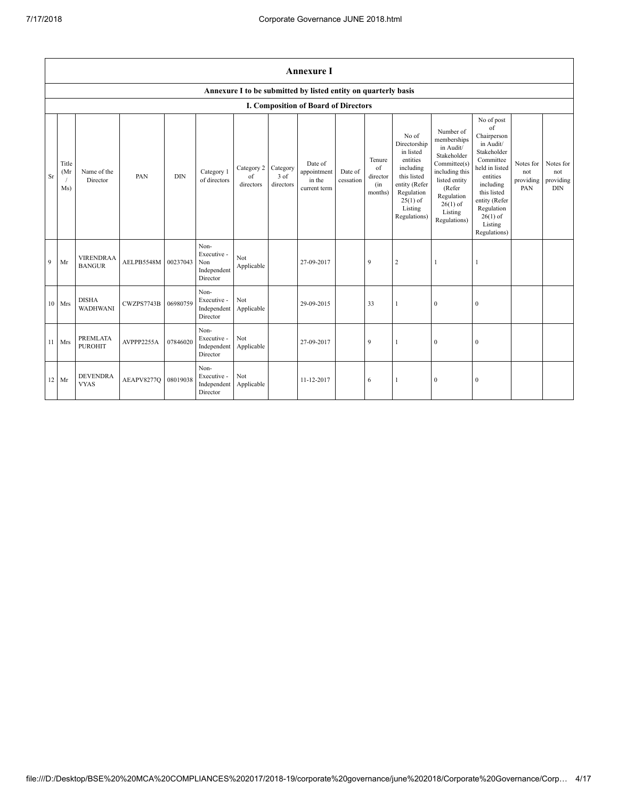|    |                     | <b>Annexure I</b>                                              |            |            |                                                       |                               |                               |                                                  |                      |                                            |                                                                                                                                                    |                                                                                                                                                                          |                                                                                                                                                                                                            |                                      |                                             |
|----|---------------------|----------------------------------------------------------------|------------|------------|-------------------------------------------------------|-------------------------------|-------------------------------|--------------------------------------------------|----------------------|--------------------------------------------|----------------------------------------------------------------------------------------------------------------------------------------------------|--------------------------------------------------------------------------------------------------------------------------------------------------------------------------|------------------------------------------------------------------------------------------------------------------------------------------------------------------------------------------------------------|--------------------------------------|---------------------------------------------|
|    |                     | Annexure I to be submitted by listed entity on quarterly basis |            |            |                                                       |                               |                               |                                                  |                      |                                            |                                                                                                                                                    |                                                                                                                                                                          |                                                                                                                                                                                                            |                                      |                                             |
|    |                     |                                                                |            |            |                                                       |                               |                               | <b>I. Composition of Board of Directors</b>      |                      |                                            |                                                                                                                                                    |                                                                                                                                                                          |                                                                                                                                                                                                            |                                      |                                             |
| Sr | Title<br>(Mr<br>Ms) | Name of the<br>Director                                        | PAN        | <b>DIN</b> | Category 1<br>of directors                            | Category 2<br>of<br>directors | Category<br>3 of<br>directors | Date of<br>appointment<br>in the<br>current term | Date of<br>cessation | Tenure<br>of<br>director<br>(in<br>months) | No of<br>Directorship<br>in listed<br>entities<br>including<br>this listed<br>entity (Refer<br>Regulation<br>$25(1)$ of<br>Listing<br>Regulations) | Number of<br>memberships<br>in Audit/<br>Stakeholder<br>Committee(s)<br>including this<br>listed entity<br>(Refer<br>Regulation<br>$26(1)$ of<br>Listing<br>Regulations) | No of post<br>of<br>Chairperson<br>in Audit/<br>Stakeholder<br>Committee<br>held in listed<br>entities<br>including<br>this listed<br>entity (Refer<br>Regulation<br>$26(1)$ of<br>Listing<br>Regulations) | Notes for<br>not<br>providing<br>PAN | Notes for<br>not<br>providing<br><b>DIN</b> |
| 9  | Mr                  | <b>VIRENDRAA</b><br><b>BANGUR</b>                              | AELPB5548M | 00237043   | Non-<br>Executive -<br>Non<br>Independent<br>Director | Not<br>Applicable             |                               | 27-09-2017                                       |                      | 9                                          | $\overline{2}$                                                                                                                                     | $\mathbf{1}$                                                                                                                                                             | 1                                                                                                                                                                                                          |                                      |                                             |
|    | 10 Mrs              | <b>DISHA</b><br><b>WADHWANI</b>                                | CWZPS7743B | 06980759   | Non-<br>Executive -<br>Independent<br>Director        | Not<br>Applicable             |                               | 29-09-2015                                       |                      | 33                                         | $\mathbf{1}$                                                                                                                                       | $\mathbf{0}$                                                                                                                                                             | $\boldsymbol{0}$                                                                                                                                                                                           |                                      |                                             |
| 11 | Mrs                 | <b>PREMLATA</b><br><b>PUROHIT</b>                              | AVPPP2255A | 07846020   | Non-<br>Executive -<br>Independent<br>Director        | Not<br>Applicable             |                               | 27-09-2017                                       |                      | $\mathbf{Q}$                               | $\mathbf{1}$                                                                                                                                       | $\theta$                                                                                                                                                                 | $\mathbf{0}$                                                                                                                                                                                               |                                      |                                             |
|    | 12 Mr               | <b>DEVENDRA</b><br><b>VYAS</b>                                 | AEAPV8277Q | 08019038   | Non-<br>Executive -<br>Independent<br>Director        | Not<br>Applicable             |                               | 11-12-2017                                       |                      | 6                                          | $\mathbf{1}$                                                                                                                                       | $\theta$                                                                                                                                                                 | $\mathbf{0}$                                                                                                                                                                                               |                                      |                                             |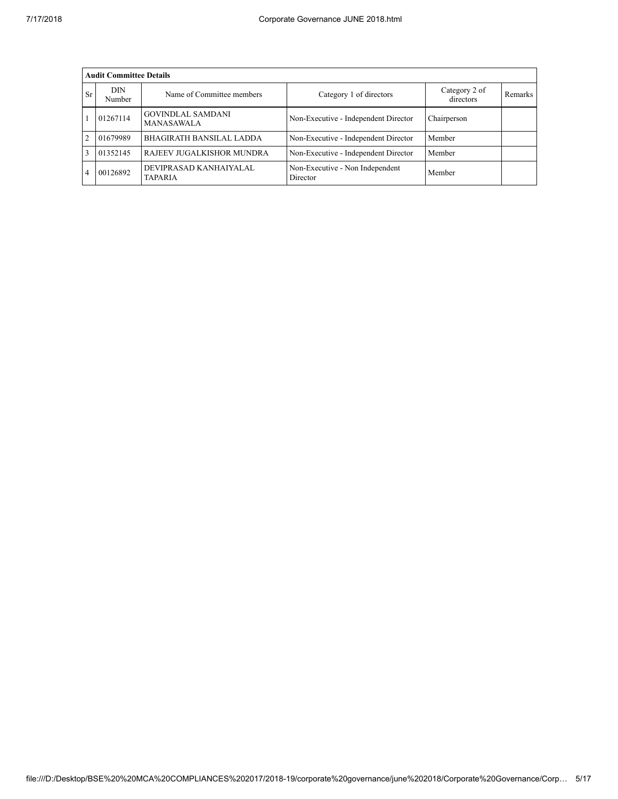|                | <b>Audit Committee Details</b> |                                               |                                             |                            |         |  |  |  |  |  |
|----------------|--------------------------------|-----------------------------------------------|---------------------------------------------|----------------------------|---------|--|--|--|--|--|
| Sr             | DIN<br>Number                  | Name of Committee members                     | Category 1 of directors                     | Category 2 of<br>directors | Remarks |  |  |  |  |  |
|                | 01267114                       | <b>GOVINDLAL SAMDANI</b><br><b>MANASAWALA</b> | Non-Executive - Independent Director        | Chairperson                |         |  |  |  |  |  |
| $\mathfrak{D}$ | 01679989                       | <b>BHAGIRATH BANSILAL LADDA</b>               | Non-Executive - Independent Director        | Member                     |         |  |  |  |  |  |
|                | 01352145                       | RAJEEV JUGALKISHOR MUNDRA                     | Non-Executive - Independent Director        | Member                     |         |  |  |  |  |  |
|                | 00126892                       | DEVIPRASAD KANHAIYALAL<br><b>TAPARIA</b>      | Non-Executive - Non Independent<br>Director | Member                     |         |  |  |  |  |  |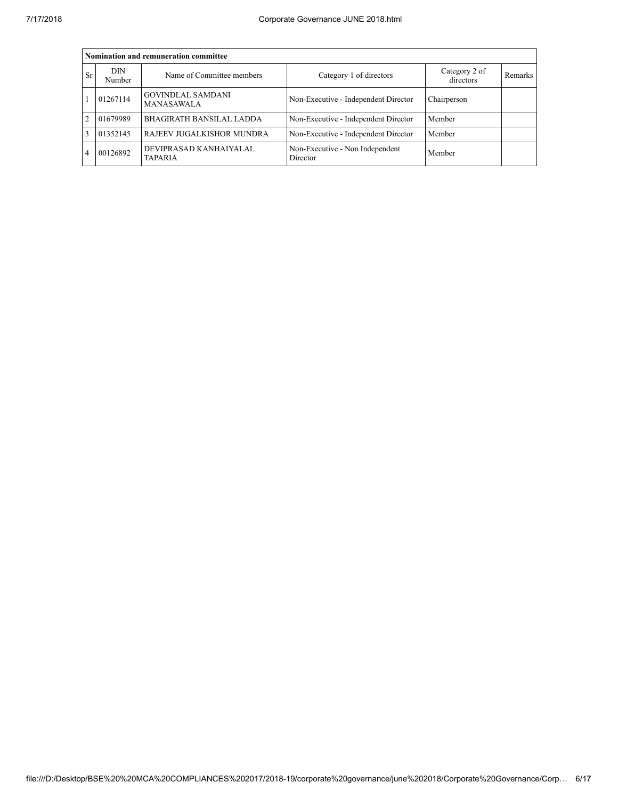|           | Nomination and remuneration committee |                                               |                                             |                            |         |  |  |  |  |  |
|-----------|---------------------------------------|-----------------------------------------------|---------------------------------------------|----------------------------|---------|--|--|--|--|--|
| <b>Sr</b> | DIN<br>Number                         | Name of Committee members                     | Category 1 of directors                     | Category 2 of<br>directors | Remarks |  |  |  |  |  |
|           | 01267114                              | <b>GOVINDLAL SAMDANI</b><br><b>MANASAWALA</b> | Non-Executive - Independent Director        | Chairperson                |         |  |  |  |  |  |
|           | 01679989                              | <b>BHAGIRATH BANSILAL LADDA</b>               | Non-Executive - Independent Director        | Member                     |         |  |  |  |  |  |
|           | 01352145                              | RAJEEV JUGALKISHOR MUNDRA                     | Non-Executive - Independent Director        | Member                     |         |  |  |  |  |  |
| 4         | 00126892                              | DEVIPRASAD KANHAIYALAL<br><b>TAPARIA</b>      | Non-Executive - Non Independent<br>Director | Member                     |         |  |  |  |  |  |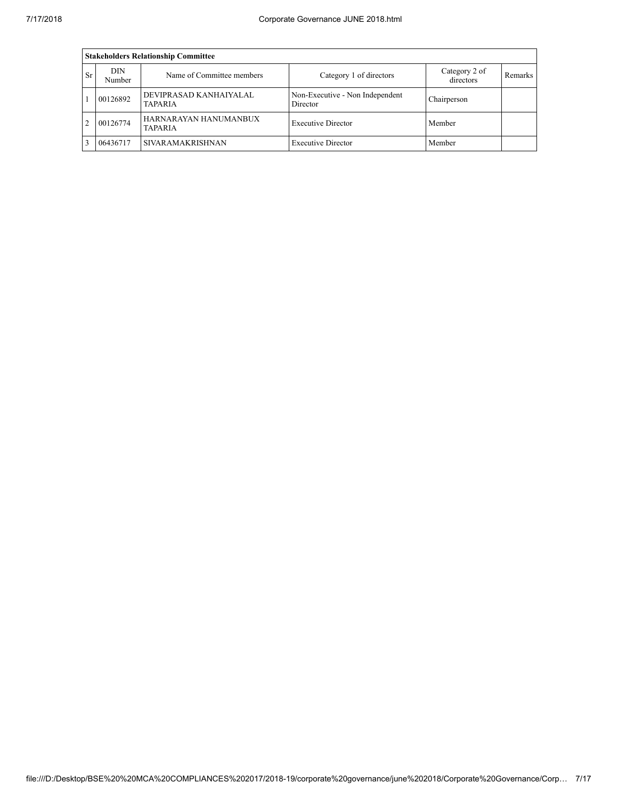|                | <b>Stakeholders Relationship Committee</b> |                                          |                                             |                            |         |  |  |  |  |  |  |
|----------------|--------------------------------------------|------------------------------------------|---------------------------------------------|----------------------------|---------|--|--|--|--|--|--|
| Sr             | <b>DIN</b><br>Number                       | Name of Committee members                | Category 1 of directors                     | Category 2 of<br>directors | Remarks |  |  |  |  |  |  |
|                | 00126892                                   | DEVIPRASAD KANHAIYALAL<br><b>TAPARIA</b> | Non-Executive - Non Independent<br>Director | Chairperson                |         |  |  |  |  |  |  |
| $\mathfrak{D}$ | 00126774                                   | HARNARAYAN HANUMANBUX<br><b>TAPARIA</b>  | <b>Executive Director</b>                   | Member                     |         |  |  |  |  |  |  |
|                | 06436717                                   | <b>SIVARAMAKRISHNAN</b>                  | <b>Executive Director</b>                   | Member                     |         |  |  |  |  |  |  |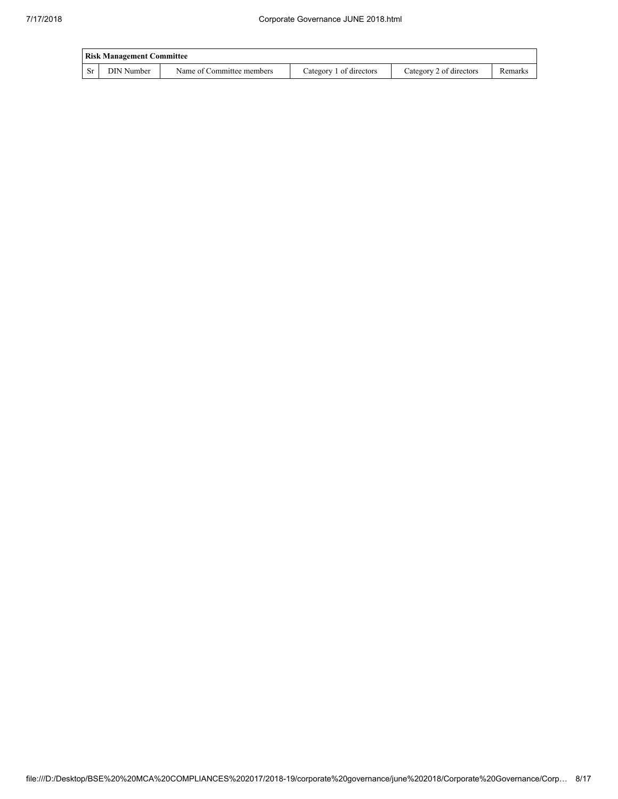|      | <b>Risk Management Committee</b> |                           |                         |                         |         |
|------|----------------------------------|---------------------------|-------------------------|-------------------------|---------|
| - Sr | DIN Number                       | Name of Committee members | Category 1 of directors | Category 2 of directors | Remarks |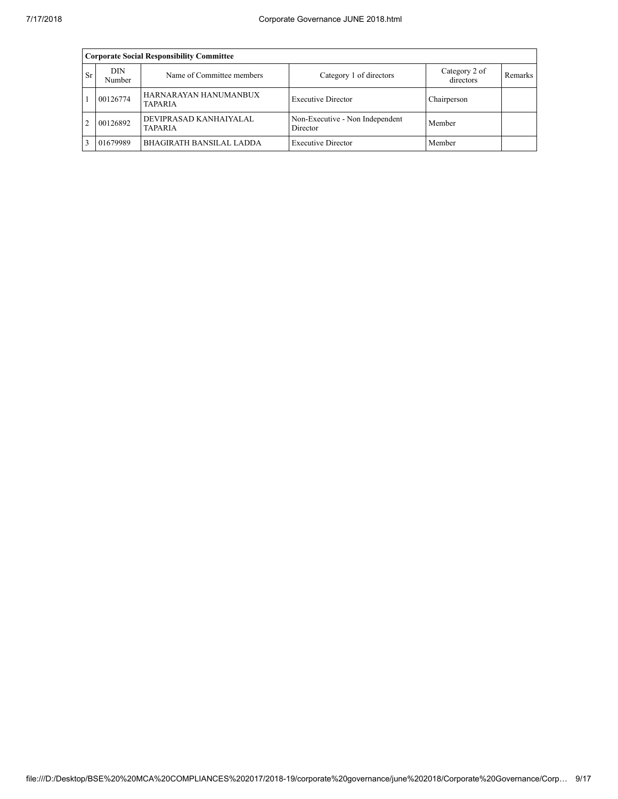|    | <b>Corporate Social Responsibility Committee</b> |                                          |                                             |                            |         |  |  |  |  |  |
|----|--------------------------------------------------|------------------------------------------|---------------------------------------------|----------------------------|---------|--|--|--|--|--|
| Sr | DIN<br>Number                                    | Name of Committee members                | Category 1 of directors                     | Category 2 of<br>directors | Remarks |  |  |  |  |  |
|    | 00126774                                         | HARNARAYAN HANUMANBUX<br><b>TAPARIA</b>  | <b>Executive Director</b>                   | Chairperson                |         |  |  |  |  |  |
|    | 00126892                                         | DEVIPRASAD KANHAIYALAL<br><b>TAPARIA</b> | Non-Executive - Non Independent<br>Director | Member                     |         |  |  |  |  |  |
|    | 01679989                                         | <b>BHAGIRATH BANSILAL LADDA</b>          | <b>Executive Director</b>                   | Member                     |         |  |  |  |  |  |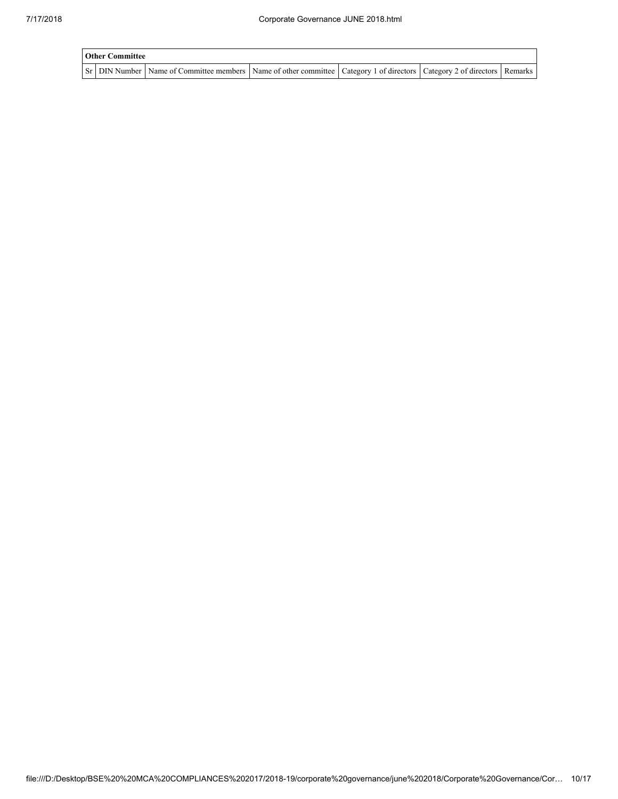| <b>Other Committee</b> |                                                                                                                                     |  |  |
|------------------------|-------------------------------------------------------------------------------------------------------------------------------------|--|--|
|                        | Sr   DIN Number   Name of Committee members   Name of other committee   Category 1 of directors   Category 2 of directors   Remarks |  |  |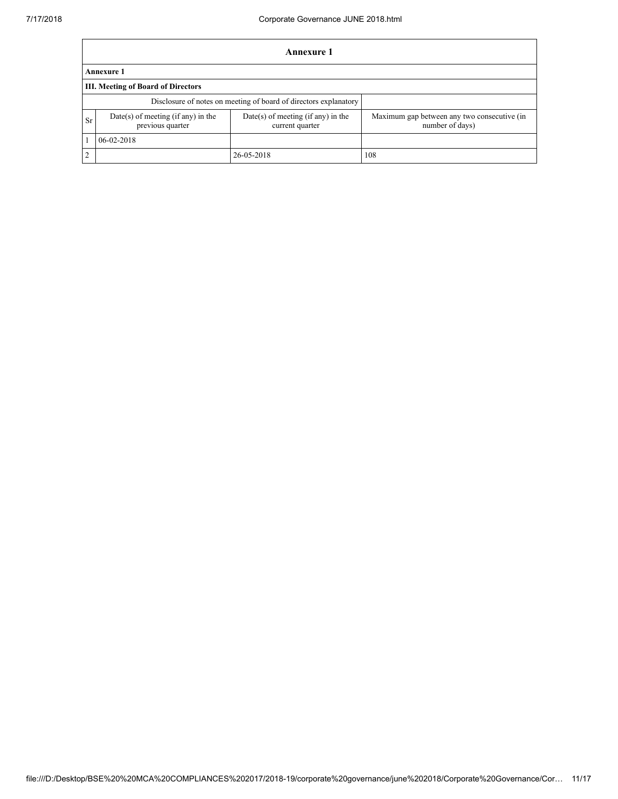|               |                                                                  | <b>Annexure 1</b>                                     |                                                                |  |  |  |  |  |  |  |  |
|---------------|------------------------------------------------------------------|-------------------------------------------------------|----------------------------------------------------------------|--|--|--|--|--|--|--|--|
|               | Annexure 1                                                       |                                                       |                                                                |  |  |  |  |  |  |  |  |
|               | III. Meeting of Board of Directors                               |                                                       |                                                                |  |  |  |  |  |  |  |  |
|               | Disclosure of notes on meeting of board of directors explanatory |                                                       |                                                                |  |  |  |  |  |  |  |  |
| Sr            | $Date(s)$ of meeting (if any) in the<br>previous quarter         | Date(s) of meeting (if any) in the<br>current quarter | Maximum gap between any two consecutive (in<br>number of days) |  |  |  |  |  |  |  |  |
|               | $06 - 02 - 2018$                                                 |                                                       |                                                                |  |  |  |  |  |  |  |  |
| $\mathcal{L}$ |                                                                  | 26-05-2018                                            | 108                                                            |  |  |  |  |  |  |  |  |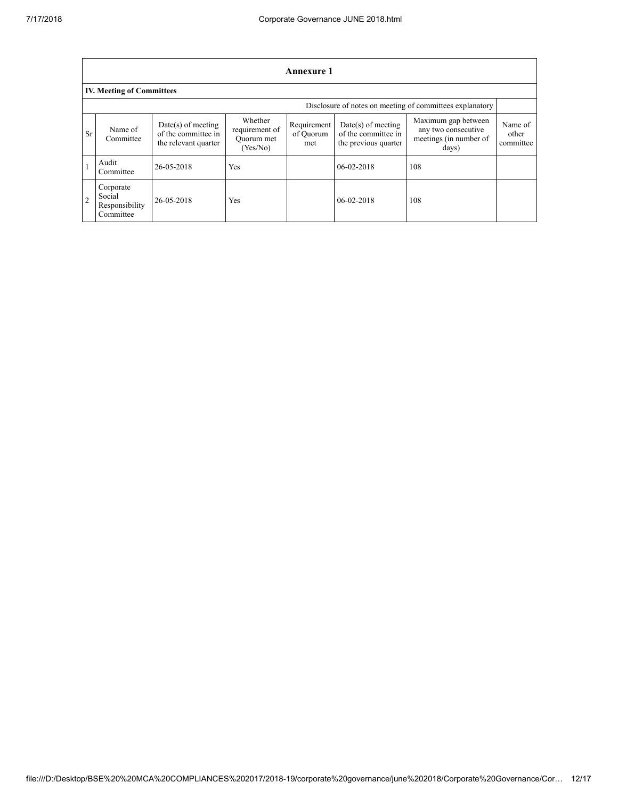| <b>Annexure 1</b> |                                                          |                                                                     |                                                     |                                 |                                                                     |                                                                               |                               |  |  |  |
|-------------------|----------------------------------------------------------|---------------------------------------------------------------------|-----------------------------------------------------|---------------------------------|---------------------------------------------------------------------|-------------------------------------------------------------------------------|-------------------------------|--|--|--|
|                   | <b>IV. Meeting of Committees</b>                         |                                                                     |                                                     |                                 |                                                                     |                                                                               |                               |  |  |  |
|                   | Disclosure of notes on meeting of committees explanatory |                                                                     |                                                     |                                 |                                                                     |                                                                               |                               |  |  |  |
| Sr                | Name of<br>Committee                                     | $Date(s)$ of meeting<br>of the committee in<br>the relevant quarter | Whether<br>requirement of<br>Quorum met<br>(Yes/No) | Requirement<br>of Quorum<br>met | $Date(s)$ of meeting<br>of the committee in<br>the previous quarter | Maximum gap between<br>any two consecutive<br>meetings (in number of<br>days) | Name of<br>other<br>committee |  |  |  |
|                   | Audit<br>Committee                                       | 26-05-2018                                                          | Yes                                                 |                                 | $06 - 02 - 2018$                                                    | 108                                                                           |                               |  |  |  |
| $\overline{2}$    | Corporate<br>Social<br>Responsibility<br>Committee       | 26-05-2018                                                          | Yes                                                 |                                 | $06-02-2018$                                                        | 108                                                                           |                               |  |  |  |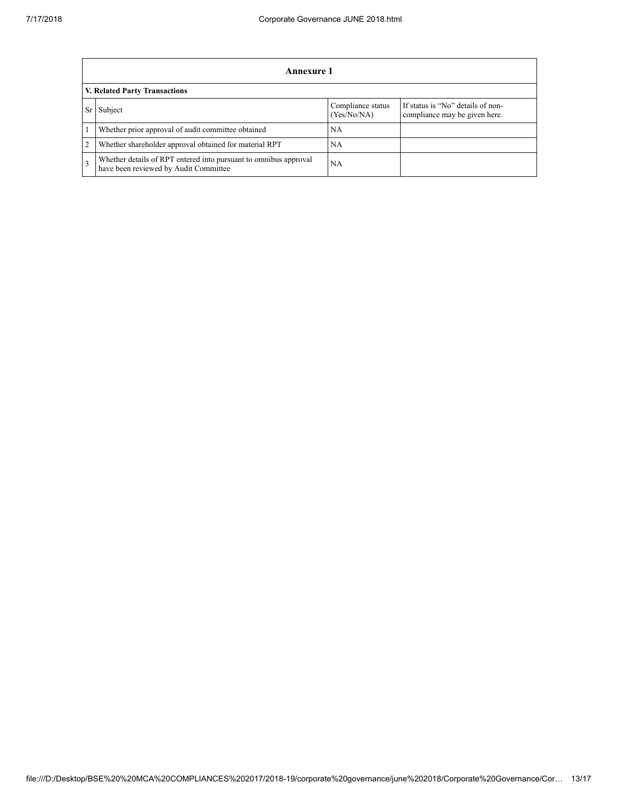|                               | Annexure 1                                                                                                |                                  |                                                                    |  |  |  |
|-------------------------------|-----------------------------------------------------------------------------------------------------------|----------------------------------|--------------------------------------------------------------------|--|--|--|
| V. Related Party Transactions |                                                                                                           |                                  |                                                                    |  |  |  |
|                               | Subject                                                                                                   | Compliance status<br>(Yes/No/NA) | If status is "No" details of non-<br>compliance may be given here. |  |  |  |
|                               | Whether prior approval of audit committee obtained                                                        | <b>NA</b>                        |                                                                    |  |  |  |
|                               | Whether shareholder approval obtained for material RPT                                                    | <b>NA</b>                        |                                                                    |  |  |  |
|                               | Whether details of RPT entered into pursuant to omnibus approval<br>have been reviewed by Audit Committee | NA.                              |                                                                    |  |  |  |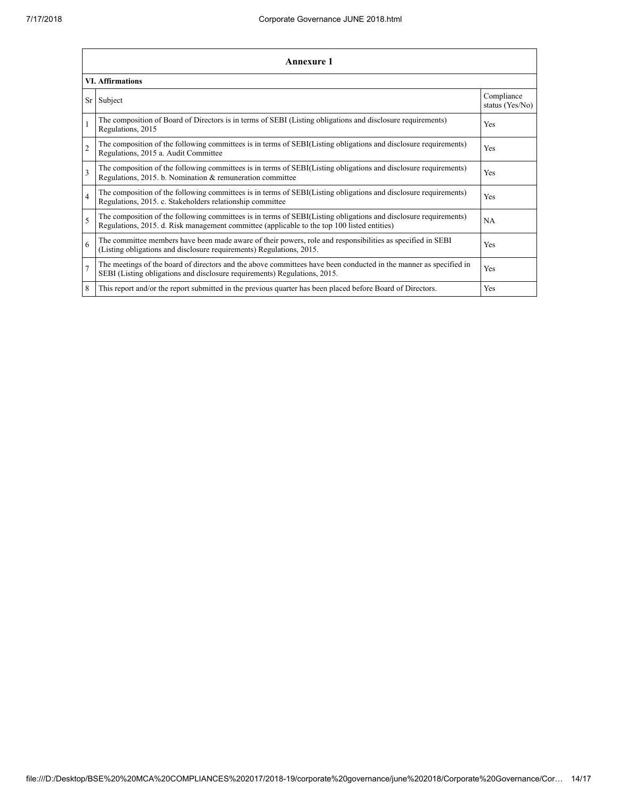| <b>Annexure 1</b>       |                                                                                                                                                                                                                 |                               |  |  |  |
|-------------------------|-----------------------------------------------------------------------------------------------------------------------------------------------------------------------------------------------------------------|-------------------------------|--|--|--|
| <b>VI. Affirmations</b> |                                                                                                                                                                                                                 |                               |  |  |  |
| Sr                      | Subject                                                                                                                                                                                                         | Compliance<br>status (Yes/No) |  |  |  |
|                         | The composition of Board of Directors is in terms of SEBI (Listing obligations and disclosure requirements)<br>Regulations, 2015                                                                                | Yes                           |  |  |  |
| $\overline{2}$          | The composition of the following committees is in terms of SEBI(Listing obligations and disclosure requirements)<br>Regulations, 2015 a. Audit Committee                                                        | Yes                           |  |  |  |
| 3                       | The composition of the following committees is in terms of SEBI(Listing obligations and disclosure requirements)<br>Regulations, 2015. b. Nomination & remuneration committee                                   | Yes                           |  |  |  |
| $\overline{4}$          | The composition of the following committees is in terms of SEBI(Listing obligations and disclosure requirements)<br>Regulations, 2015. c. Stakeholders relationship committee                                   | Yes                           |  |  |  |
| 5                       | The composition of the following committees is in terms of SEBI(Listing obligations and disclosure requirements)<br>Regulations, 2015. d. Risk management committee (applicable to the top 100 listed entities) | <b>NA</b>                     |  |  |  |
| 6                       | The committee members have been made aware of their powers, role and responsibilities as specified in SEBI<br>(Listing obligations and disclosure requirements) Regulations, 2015.                              | Yes                           |  |  |  |
| $\overline{7}$          | The meetings of the board of directors and the above committees have been conducted in the manner as specified in<br>SEBI (Listing obligations and disclosure requirements) Regulations, 2015.                  | Yes                           |  |  |  |
| 8                       | This report and/or the report submitted in the previous quarter has been placed before Board of Directors.                                                                                                      | Yes                           |  |  |  |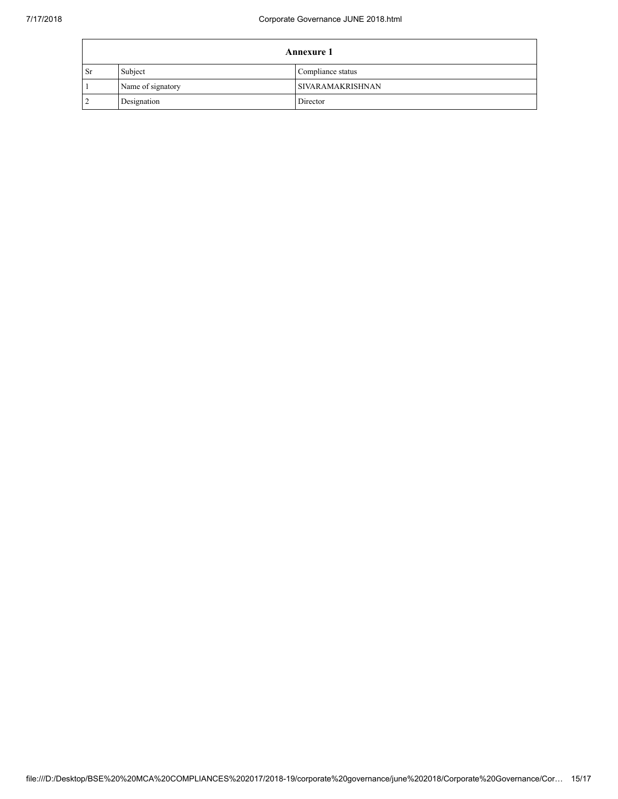| <b>Annexure 1</b> |                   |                         |
|-------------------|-------------------|-------------------------|
| <b>Sr</b>         | Subject           | Compliance status       |
|                   | Name of signatory | <b>SIVARAMAKRISHNAN</b> |
|                   | Designation       | Director                |